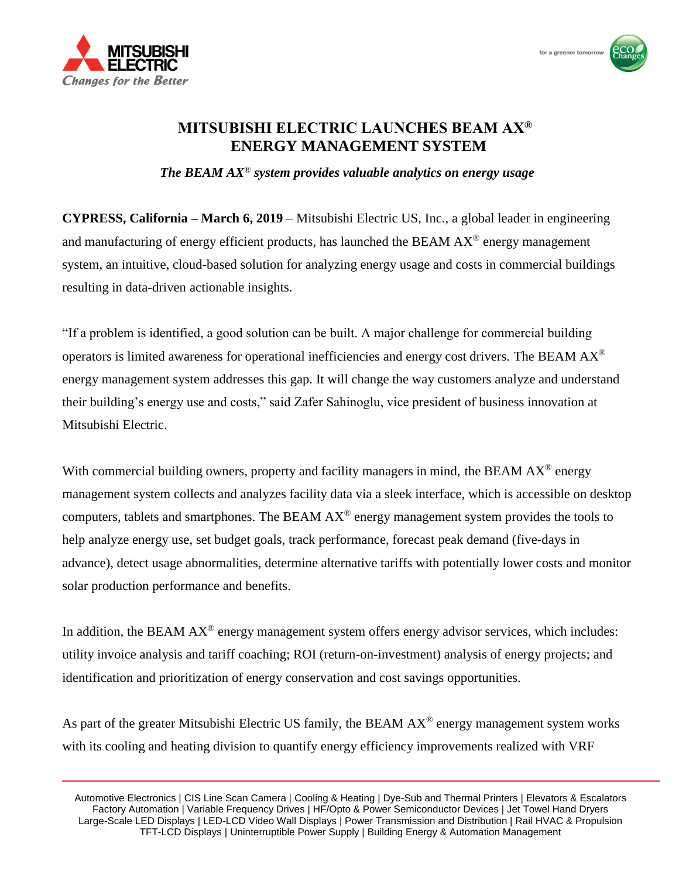



## **MITSUBISHI ELECTRIC LAUNCHES BEAM AX® ENERGY MANAGEMENT SYSTEM**

*The BEAM AX*® *system provides valuable analytics on energy usage* 

**CYPRESS, California – March 6, 2019** – Mitsubishi Electric US, Inc., a global leader in engineering and manufacturing of energy efficient products, has launched the BEAM  $AX^{\circledast}$  energy management system, an intuitive, cloud-based solution for analyzing energy usage and costs in commercial buildings resulting in data-driven actionable insights.

"If a problem is identified, a good solution can be built. A major challenge for commercial building operators is limited awareness for operational inefficiencies and energy cost drivers. The BEAM  $AX^{\otimes}$ energy management system addresses this gap. It will change the way customers analyze and understand their building's energy use and costs," said Zafer Sahinoglu, vice president of business innovation at Mitsubishi Electric.

With commercial building owners, property and facility managers in mind, the BEAM  $AX^{\circledR}$  energy management system collects and analyzes facility data via a sleek interface, which is accessible on desktop computers, tablets and smartphones. The BEAM  $AX^{\circledR}$  energy management system provides the tools to help analyze energy use, set budget goals, track performance, forecast peak demand (five-days in advance), detect usage abnormalities, determine alternative tariffs with potentially lower costs and monitor solar production performance and benefits.

In addition, the BEAM  $AX^{\circledR}$  energy management system offers energy advisor services, which includes: utility invoice analysis and tariff coaching; ROI (return-on-investment) analysis of energy projects; and identification and prioritization of energy conservation and cost savings opportunities.

As part of the greater Mitsubishi Electric US family, the BEAM  $AX^{\circ}$  energy management system works with its cooling and heating division to quantify energy efficiency improvements realized with VRF